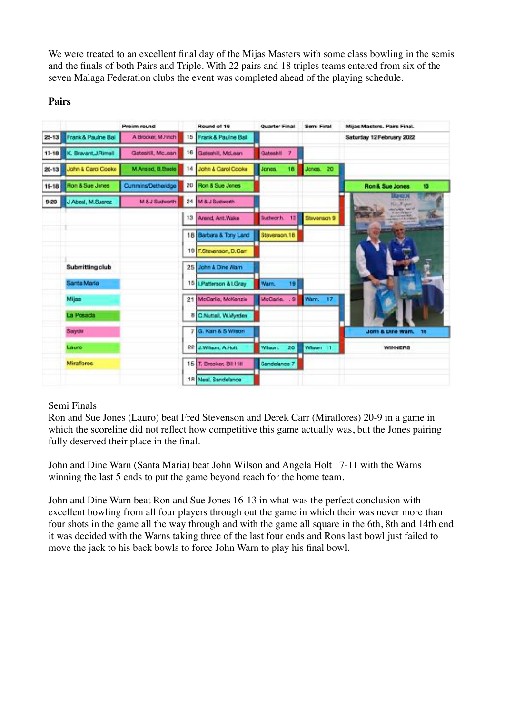We were treated to an excellent final day of the Mijas Masters with some class bowling in the semis and the finals of both Pairs and Triple. With 22 pairs and 18 triples teams entered from six of the seven Malaga Federation clubs the event was completed ahead of the playing schedule.

## **Pairs**

|           |                     | <b>Preim round</b> |         | Round of 16            | Quarter Final  | Semi Final  | Mijas Masters, Pairs Final.                        |
|-----------|---------------------|--------------------|---------|------------------------|----------------|-------------|----------------------------------------------------|
| $25 - 13$ | Frank & Paulne Ball | A Brooker, M.Finch |         | 15 Frank & Paulne Ball |                |             | Saturday 12 February 2022                          |
| $17 - 18$ | K. Bravant, JRimell | Gateshill, Mc.ean  | 16      | Gateshill, McLean      | Gateshill<br>п |             |                                                    |
| $20 - 13$ | John & Caro Cooke   | M.Ansed, B.Steele  | 14      | John & Carol Cooke     | 18<br>Jones.   | Jones. 20   |                                                    |
| $19 - 18$ | Ron & Sue Jones     | Cummins/Detheridge |         | 20 Ron & Sue Jones     |                |             | <b>Ron &amp; Sue Jones</b><br>13                   |
| 9-20      | J Abeal, M.Suarez   | M & J Sudworth     | $^{24}$ | M & J Sudworth         |                |             | <u>1938</u><br>No. Napor<br><b>ALCOHOL: NATION</b> |
|           |                     |                    | 13      | Arend Ant.Wake         | Sudwork 13     | Stevensch 9 | description and Party.                             |
|           |                     |                    |         | 18 Barbara & Tony Land | Stevenson.18   |             |                                                    |
|           |                     |                    |         | 19 F.Stevenson, D.Carr |                |             |                                                    |
|           | Submitting club     |                    |         | 25 John & Dine Nam     |                |             |                                                    |
|           | Santa Maria         |                    |         | 15   Patterson & LGray | Warn.<br>19    |             |                                                    |
|           | <b>Mijas</b>        |                    |         | 21 McCarlie, McKenzie  | McCarle. 9     | Warn. 17    |                                                    |
|           | La Posada           |                    |         | 8 C.Nuttall, W.Wyrden  |                |             |                                                    |
|           | Saydo               |                    | 7       | G. Kan & 5 Wilson      |                |             | John & Dire Wam.<br>- 16                           |
|           | Lauro               |                    |         | 22 J.Wilson, A.Holt    | Witsun.<br>20  | White: 11   | WINNERS                                            |
|           | <b>Miraflares</b>   |                    |         | 15 T. Drooker, DI HIII | Gandelance 7   |             |                                                    |
|           |                     |                    |         | 1R Neal, Sandelance    |                |             |                                                    |

## Semi Finals

Ron and Sue Jones (Lauro) beat Fred Stevenson and Derek Carr (Miraflores) 20-9 in a game in which the scoreline did not reflect how competitive this game actually was, but the Jones pairing fully deserved their place in the final.

John and Dine Warn (Santa Maria) beat John Wilson and Angela Holt 17-11 with the Warns winning the last 5 ends to put the game beyond reach for the home team.

John and Dine Warn beat Ron and Sue Jones 16-13 in what was the perfect conclusion with excellent bowling from all four players through out the game in which their was never more than four shots in the game all the way through and with the game all square in the 6th, 8th and 14th end it was decided with the Warns taking three of the last four ends and Rons last bowl just failed to move the jack to his back bowls to force John Warn to play his final bowl.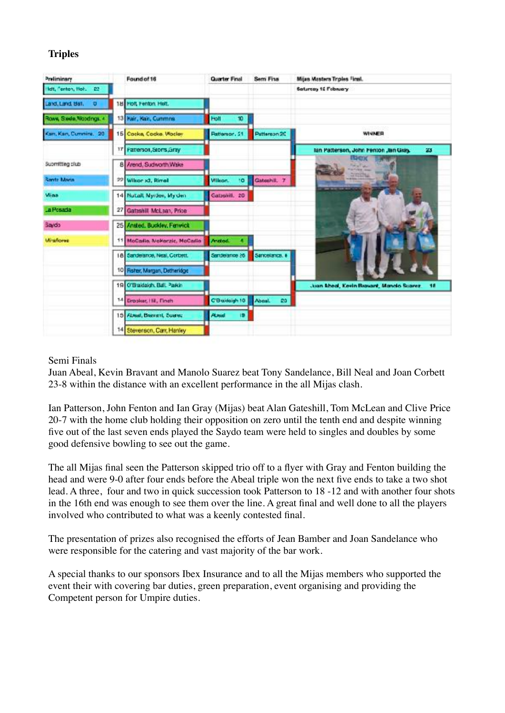## **Triples**

| Preliminary                     | Found of 16                    | Quarter Final                  | Sem Fina             | Mijas Masters Triples Final.                   |
|---------------------------------|--------------------------------|--------------------------------|----------------------|------------------------------------------------|
| Helt, Fenton, Not. 22           |                                |                                |                      | Saturcay 12 February                           |
| Land, Land, Ball,<br>o          | 18 Polt Fenton Holt.           |                                |                      |                                                |
| Rows, Sade, Woodngs, 4          | 13 Kair, Kair, Cummns          | Holt<br>10                     |                      |                                                |
| Kan, Kan, Currime. 20           | 15 Cocka, Cocka, Wocley        | Patterson, 51                  | Patterson 2C         | WINNER                                         |
|                                 | 17 Fatterson, Storts, Gray     |                                |                      | lan Patterson, John Fenton Jan Gray.<br>23     |
| Suomitting club                 | 8 Arend, Sudworth Wake         |                                |                      | tier<br><b>Mallac</b><br><b>STATE OR</b>       |
| <b>Rontz Maria</b>              | 22 Wilson x3, Rimal            | Wilson.<br>10                  | Gateshill, 7         | and changing them. Then<br><b>CRIMINAL</b>     |
| Miaa                            | 14 Nutall Nyrtee, My den       | Catsolill, 20                  |                      |                                                |
| La Posada                       | 27 Gateshill McLaan, Price     |                                |                      |                                                |
| Saydo                           | 25 Ansted, Buckley, Ferwick    |                                |                      |                                                |
| <b><i><u>Miraflores</u></i></b> | 11 MoCadio, Malterzic, MaCadio | <b>Anatod.</b>                 |                      |                                                |
|                                 | 18 Sandelance, Neal, Corbett.  | Senderance 26                  | Sancelance.          |                                                |
|                                 | 10 Risher, Margan, Detheridge  |                                |                      |                                                |
|                                 | 19 O'Braidaigh, Ball, Parkin   |                                |                      | Juan Abeal, Kevin Riaward, Mando Suarez.<br>18 |
|                                 | 141<br>Drooker, Hill, Finch    | C'Braidaigh 10                 | CO.<br><b>Abasi.</b> |                                                |
|                                 | 15 Absel, Beaveril, Suerec.    | <b>About</b><br>$\blacksquare$ |                      |                                                |
|                                 | 14 Stevenson, Can, Hanley      |                                |                      |                                                |

## Semi Finals

Juan Abeal, Kevin Bravant and Manolo Suarez beat Tony Sandelance, Bill Neal and Joan Corbett 23-8 within the distance with an excellent performance in the all Mijas clash.

Ian Patterson, John Fenton and Ian Gray (Mijas) beat Alan Gateshill, Tom McLean and Clive Price 20-7 with the home club holding their opposition on zero until the tenth end and despite winning five out of the last seven ends played the Saydo team were held to singles and doubles by some good defensive bowling to see out the game.

The all Mijas final seen the Patterson skipped trio off to a flyer with Gray and Fenton building the head and were 9-0 after four ends before the Abeal triple won the next five ends to take a two shot lead. A three, four and two in quick succession took Patterson to 18 -12 and with another four shots in the 16th end was enough to see them over the line. A great final and well done to all the players involved who contributed to what was a keenly contested final.

The presentation of prizes also recognised the efforts of Jean Bamber and Joan Sandelance who were responsible for the catering and vast majority of the bar work.

A special thanks to our sponsors Ibex Insurance and to all the Mijas members who supported the event their with covering bar duties, green preparation, event organising and providing the Competent person for Umpire duties.